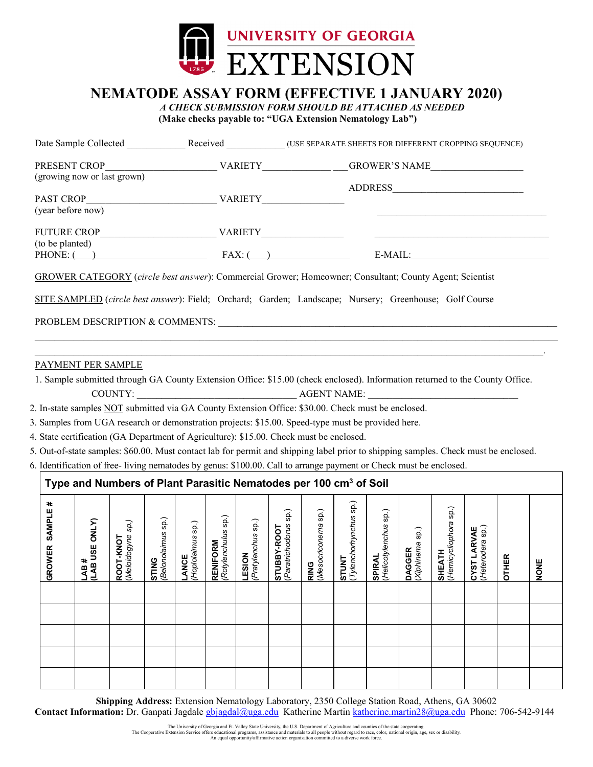

# **NEMATODE ASSAY FORM (EFFECTIVE 1 JANUARY 2020)** *A CHECK SUBMISSION FORM SHOULD BE ATTACHED AS NEEDED*

| (Make checks payable to: "UGA Extension Nematology Lab") |  |
|----------------------------------------------------------|--|
|----------------------------------------------------------|--|

| Date Sample Collected       | Received       | (USE SEPARATE SHEETS FOR DIFFERENT CROPPING SEQUENCE) |
|-----------------------------|----------------|-------------------------------------------------------|
| PRESENT CROP                | <b>VARIETY</b> | GROWER'S NAME                                         |
| (growing now or last grown) |                |                                                       |
|                             |                | <b>ADDRESS</b>                                        |
| <b>PAST CROP</b>            | VARIETY        |                                                       |
| (year before now)           |                |                                                       |
| <b>FUTURE CROP</b>          | <b>VARIETY</b> |                                                       |
| (to be planted)             |                |                                                       |
| $PHONE:$ ( )                | $FAX:$ ( )     | E-MAIL:                                               |

SITE SAMPLED (*circle best answer*): Field; Orchard; Garden; Landscape; Nursery; Greenhouse; Golf Course

PROBLEM DESCRIPTION & COMMENTS:

### PAYMENT PER SAMPLE

1. Sample submitted through GA County Extension Office: \$15.00 (check enclosed). Information returned to the County Office. COUNTY: AGENT NAME:

 $\mathcal{L}_\mathcal{L} = \mathcal{L}_\mathcal{L} = \mathcal{L}_\mathcal{L} = \mathcal{L}_\mathcal{L} = \mathcal{L}_\mathcal{L} = \mathcal{L}_\mathcal{L} = \mathcal{L}_\mathcal{L} = \mathcal{L}_\mathcal{L} = \mathcal{L}_\mathcal{L} = \mathcal{L}_\mathcal{L} = \mathcal{L}_\mathcal{L} = \mathcal{L}_\mathcal{L} = \mathcal{L}_\mathcal{L} = \mathcal{L}_\mathcal{L} = \mathcal{L}_\mathcal{L} = \mathcal{L}_\mathcal{L} = \mathcal{L}_\mathcal{L}$  $\mathcal{L}_\mathcal{L} = \mathcal{L}_\mathcal{L} = \mathcal{L}_\mathcal{L} = \mathcal{L}_\mathcal{L} = \mathcal{L}_\mathcal{L} = \mathcal{L}_\mathcal{L} = \mathcal{L}_\mathcal{L} = \mathcal{L}_\mathcal{L} = \mathcal{L}_\mathcal{L} = \mathcal{L}_\mathcal{L} = \mathcal{L}_\mathcal{L} = \mathcal{L}_\mathcal{L} = \mathcal{L}_\mathcal{L} = \mathcal{L}_\mathcal{L} = \mathcal{L}_\mathcal{L} = \mathcal{L}_\mathcal{L} = \mathcal{L}_\mathcal{L}$ 

- 2. In-state samples NOT submitted via GA County Extension Office: \$30.00. Check must be enclosed.
- 3. Samples from UGA research or demonstration projects: \$15.00. Speed-type must be provided here.
- 4. State certification (GA Department of Agriculture): \$15.00. Check must be enclosed.
- 5. Out-of-state samples: \$60.00. Must contact lab for permit and shipping label prior to shipping samples. Check must be enclosed.
- 6. Identification of free- living nematodes by genus: \$100.00. Call to arrange payment or Check must be enclosed.

#### **Type and Numbers of Plant Parasitic Nematodes per 100 cm3 of Soil GROWER SAMPLE # LAB # (LAB USE ONLY) ROOT-KNOT**  $\overline{5}$ (*Tylenchorhynchus* sp.) (*Hemicycliophora* sp.) Hemicycliophora sp.) (*Paratrichodorus* sp.) (*Mesocriconema* sp.) (*Helicotylenchus* sp.) sp. sp. Helicotylenchus sp. Rotylenchulus sp.) Tylenchorhynchus **STING**<br>(*Belonolaimus* sp.) *(Rotylenchulus* sp.) *(Belonolaimus* sp.) Pratylenchus sp.) *(Pratylenchus* sp.) (*Meloidogyne sp.)* **ANCE**<br>Hoplolaimus sp.) *(Hoplolaimus* sp.) Paratrichodorus Mesocriconema CYST LARVAE<br>(Heterodera sp.) STUBBY-ROOT **STUBBY-ROOT** Xiphinema sp.) (*Heterodera* sp.) (*Xiphinema* sp.) **CYST LARVAE RENIFORM RENIFORM SHEATH DAGGER DAGGER LESION STUNT OTHER SPIRAL NONE RING**

**Shipping Address:** Extension Nematology Laboratory, 2350 College Station Road, Athens, GA 30602 **Contact Information:** Dr. Ganpati Jagdal[e gbjagdal@uga.edu](mailto:gbjagdal@uga.edu) Katherine Martin [katherine.martin28@uga.edu](mailto:katherine.martin28@uga.edu) Phone: 706-542-9144